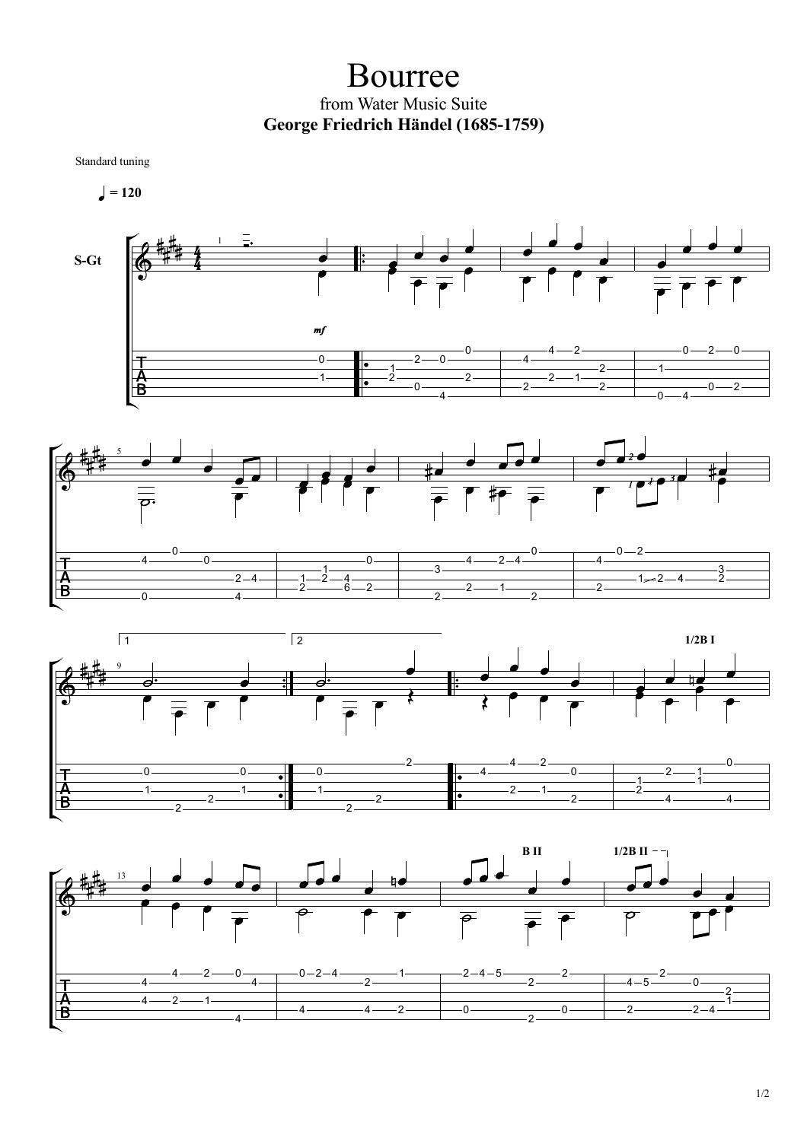Bourree from Water Music Suite **George Friedrich Händel (1685-1759)**

Standard tuning

 $= 120$